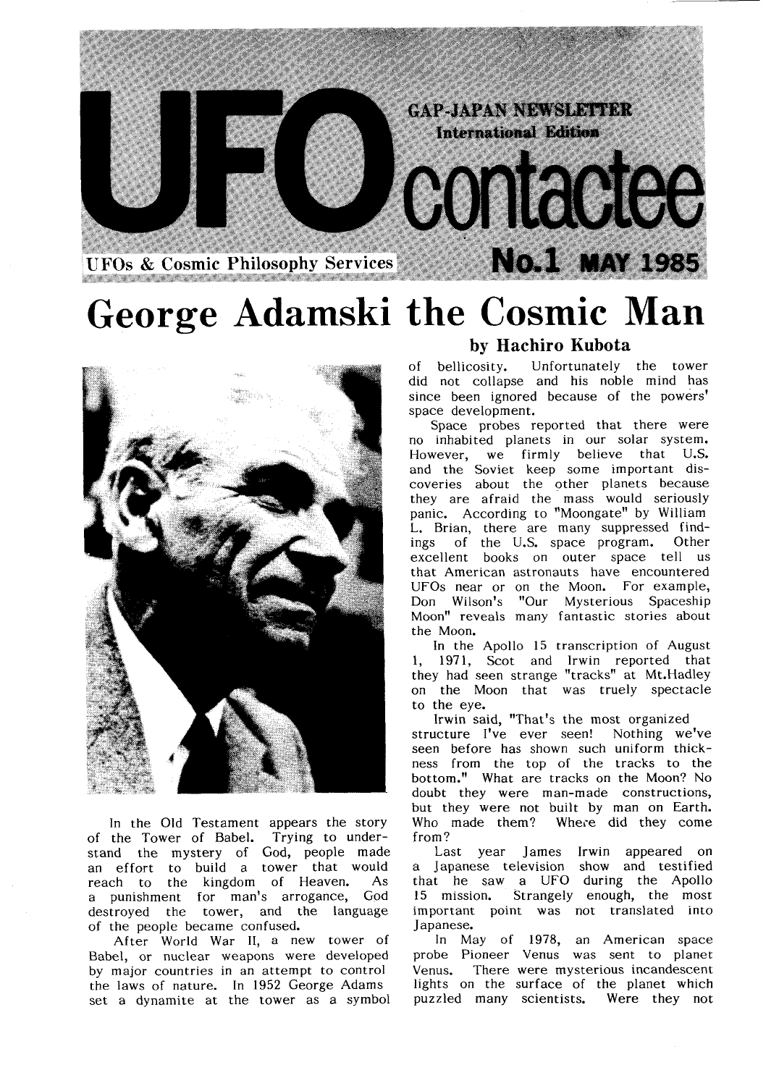

# George Adamski the Cosmic Man



In the Old Testament appears the story of the Tower of Babel. Trying to understand the mystery of God, people made an effort to build a tower that would reach to the kingdom of Heaven. As a punishment for man's arrogance, God destroyed the tower, and the language of the people became confused.

After World War II, a new tower of Babel, or nuclear weapons were developed by major countries in an attempt to control the laws of nature. In 1952 George Adams set a dynamite at the tower as a symbol

### by Hachiro Kubota

Of bellicosity. Unfortunately the tower did not collapse and his noble mind has since been ignored because of the powers' space development.

Space probes reported that there were no inhabited planets in our solar system. However, we firmly believe that U.S. and the Soviet keep some important discoveries about the other planets because they are afraid the mass would ser panic. According to "Moongate" by William<br>L. Brian, there are many suppressed findings of the U.S. space program. Other excellent books on outer space that American astronauts have encountered UFOs near or on the Moon. For example, Don Wilson's "Our Mysterious Spaceship Moon" reveals many fantastic stories about the Moon.

In the Apollo 15 transcription of August 1, 1971, Scot and Irwin reported that they had seen strange "tracks" at Mt.Hadley on the Moon that was truely spectacle to the eye.

Irwin said, "That's the most organized structure I've ever seen! Nothing we seen before has shown such uniform thick ness from the top of the tracks to t bottom." What are tracks on the Moon? doubt they were man-made constructions, but they were not built by man on Eart Who made them? Where did they come from?

Last year James Irwin appeared on<br>a Japanese television show and testified that he saw a UFO during the Apollo 15 mission. Strangely enough, the most important point was not translated into

Japanese.<br>In May of 1978, an American space probe Pioneer Venus was sent to planet Venus. There were mysterious incandescent lights on the surface of the planet which puzzled many scientists. Were they not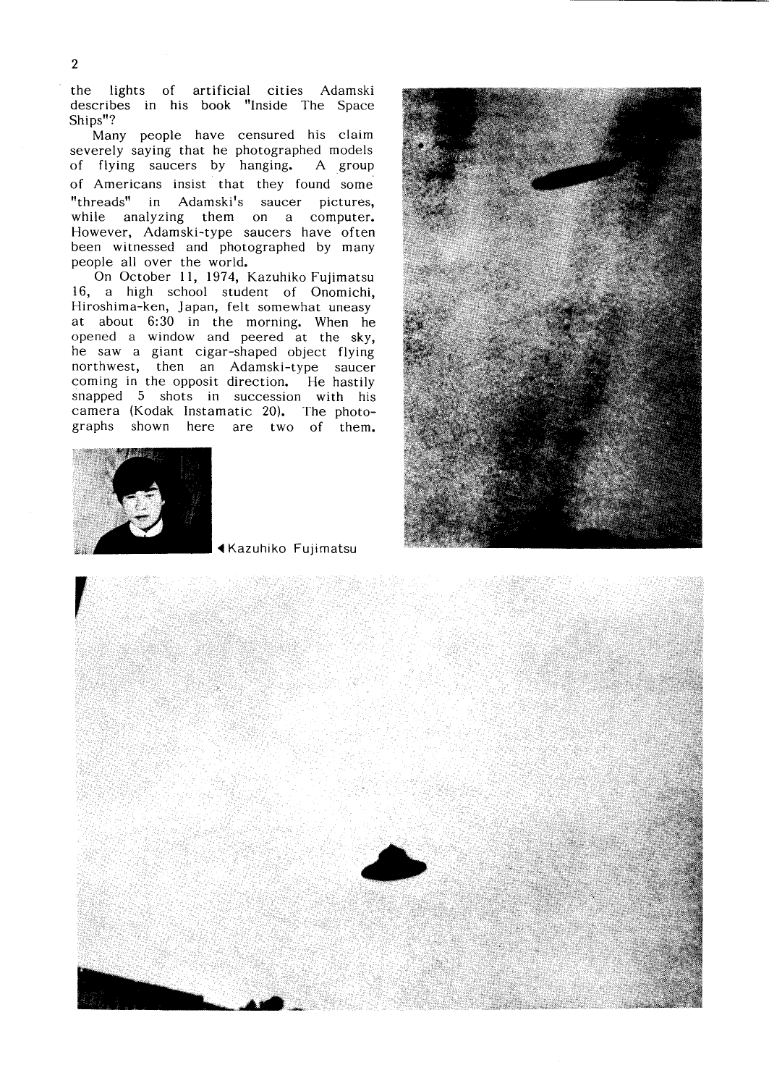the lights of artificial cities Adamski describes in his book "Inside The Space<br>Ships"?

Many people have censured his claim severely saying that he photographed models of flying saucers by hanging. A group of Americans insist that they found some "threads" in Adamski's saucer pictures, while analyzing them on a computer. However, Adamski-type saucers have often been witnessed and photographed by many people all over the world.

On October 11, 1974, Kazuhiko Fujimatsu 16, a high school student of Onomichi, Hiroshima-ken, Japan, felt somewhat uneasy at about 6:30 in the morning. When he OPened a window and peered at the sky, he saw a giant cigar-shaped object flying northwest, then an Adamski-type saucer coming in the opposit direction. He hastily snapped 5 shots in succession with his camera (Kodak Instamatic 20). The photographs shown here are two of them.



1Kazuhiko Fujimatsu



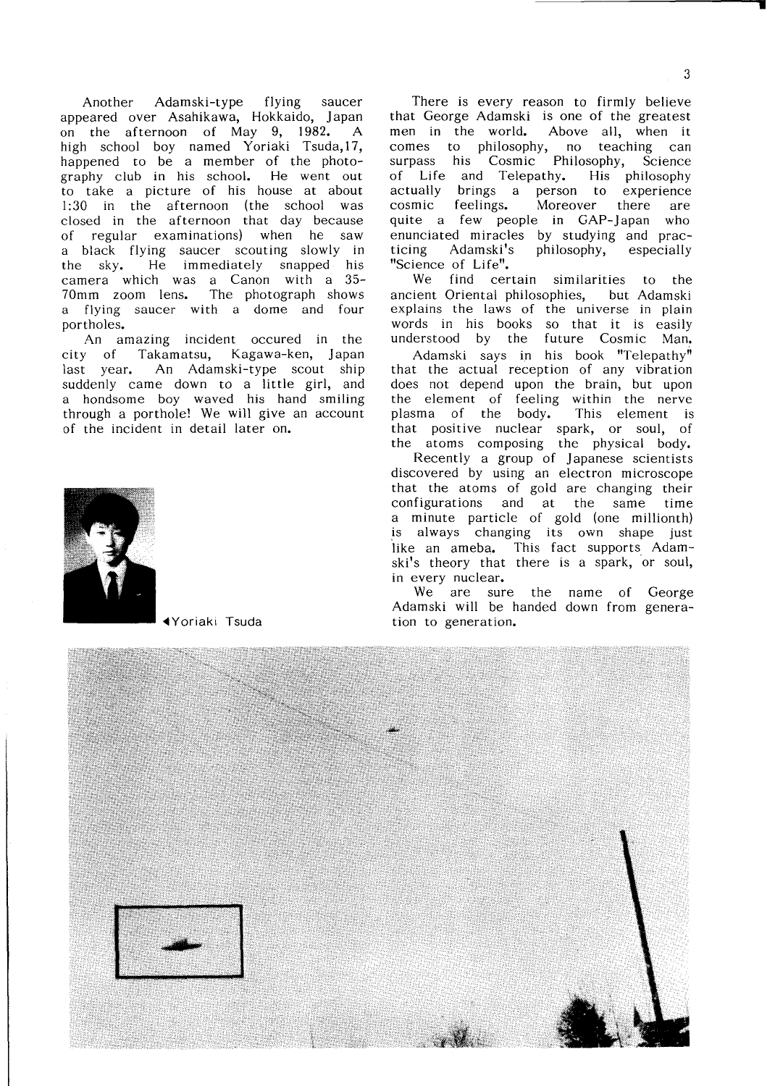Another Adamski-type flying saucer appeared over Asahikawa, Hokkaido, Japan on the afternoon of May 9,1982. A high school boy named Yoriaki Tsuda,17, happened to be a member of the photo graphy club in his school. He went out to take a picture of his house at about 1:30 in the afternoon (the school was closed in the afternoon that day because of regular examinations) when he saw a black flying saucer scouting slowly in the sky. He immediately snapped his camera which was a Canon with a 35- 70mm zoom lens. The photograph shows a flying saucer with a dome and four portholes.

An amazing incident occured in the City of Takamatsu, Kagawa-ken,Japan last year. An Adamski-type sco suddenly came down to a little girl, and a hondsome boy waved his hand smiling through a porthole! We will give an account of the incident in detail later on.



There is every reason to firmly believe that George Adamski is one of the greatest men in the world. Above all, when it comes to philosophy, no teaching can surpass his Cosmic Philosophy, Science of Life and Telepathy. His philosophy actually brings a person to experience cosmic feelings. Moreover there are quite a few people in GAP-Japan who enunciated miracles by studying and prac ticing Adamski's philosophy, especially "Science of Life".

We find certain similarities to the ancient Oriental philosophies, but Adamski explains the laws of the universe in plain words in his books so that it is easily understood by the future Cosmic Man.

Adamski says in his book "Telepa<br>that the actual reception of any vibration does not depend upon the brain, but the element of feeling within the plasma of the body**.** This e that positive nuclear spark, or soul, of the atoms composing the physical body.

Recently a group of Japanese scientists discovered by using an electron microscope that the atoms of gold are changing their COnfigurations and at the same time a minute particle of gold (one millionth) is always changing its own shape just like an ameba. This fact supports Adam ski's theory that there is a spark, or soul, in every nuclear.

We are sure the name of George Adamski will be handed down from generation to generation.

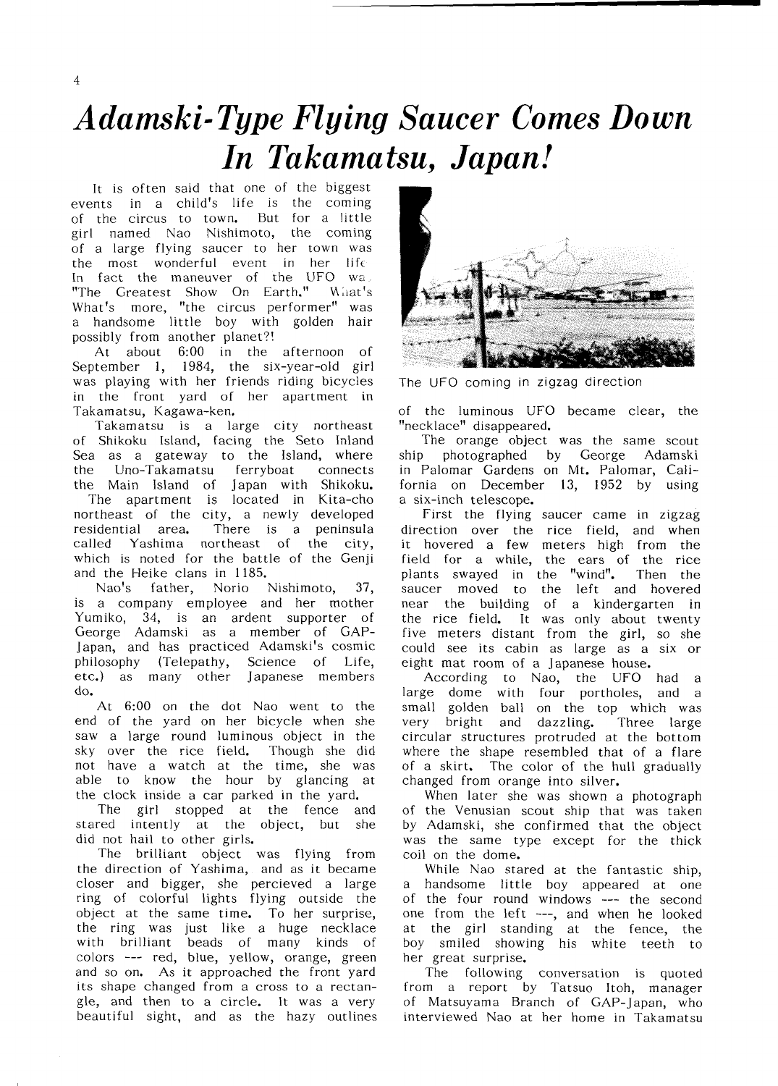## Adamski-Type Flying Saucer Comes Down In Takamatsu, Japan!

It is often said that one of the biggest events in a child's life is the coming of the circus to town. But for a little girl named Nao Nishimoto, the coming of a large flying saucer to her town was the most wonderful event in her life In fact the maneuver of the UFO wa. "The Greatest Show On Earth." What's What's more, "the circus performer" was a handsome little boy with golden hair possibly from another planet?!

At about 6:00 in the afternoon of September 1, 1984, the six-year-old girl was playing with her friends riding bicycles in the front yard of her apartment in Takamatsu, Kagawa-ken.

Takamatsu is a large city northeast of Shikoku Island, facing the Seto Inland Sea as a gateway to the Island, where the Uno-Takamatsu ferryboat connects the Main lsland of Japan with Shikoku. The apartment is located in Kita-cho northeast of the city, a newly developed residential area. There is a peninsula Called Yashima northeast of the city, which is noted for the battle of the Genji and the Heike clans in 1185.

Nao's father, Norio Nishimoto, 37, is a company employee and her mother Yumiko, 34, is an ardent supporter of George Adamski as a member of GAP-Japan, and has practiced Adamski's cosmic philosophy (Telepathy, Science of Life, etc.) as many other Japanese members do.

At 6:00 on the dot Nao went to the end of the yard on her bicycle when she saw a large round luminous object in the Sky over the rice field. Though she did not have a watch at the time, she was able to know the hour by glancing at the clock inside a car parked in the yard.

The girl stopped at the fence and stared intently at the object, but she did not hail to other girls. did not hail to other girls.<br>The brilliant object was flying

the direction of Yashima, and as it be closer and bigger, she percieved a ring of colorful lights flying outside object at the same time. To her surprise, the ring was just like a huge necklace With brilliant beads of many kinds of colors --- red, blue, yellow, orange, green and so on. As it approached the front yard its shape changed from a cross to a rectan gle, and then to a circle. It was a very beautiful sight, and as the hazy outlines



The UFO coming in zigzag direction

of the luminous UFO became clear, the "necklace" disappeared.

The orange object was the same scout Ship photographed by George Adamski in Palomar Gardens on Mt. Palomar, California on December 13, 1952 by using a six-inch telescope.

First the flying saucer came in zigzag direction over the rice field, and when it hovered a few meters high from the field for a while, the ears of the rice plants swayed in the "wind". Then the saucer moved to the left and hovered near the building of a kindergarten in the rice field. It was only about twenty five meters distant from the girl, so she could see its cabin as large as a six or eight mat room of a Japanese house.<br>According to Nao, the UFO had a

large dome with four portholes, and a small golden ball on the top which was very bright and dazzling. Three large circular structures protruded at the bottom Where the shape resembled that of a flare of a skirt. The color of the hull gradually changed from orange into silver.

When later she was shown a photograph Of the Venusian scout ship that was taken by Adamski, she confirmed that the object was the same type except for the thick coil on the dome.

While Nao stared at the fantastic ship, handsome little boy appeared at one Of the four round windows --- the second one from the left ---, and when he looked at the girl standing at the fence, the boy smiled showing his white teeth to her great surprise.

The following conversation is quoted from a report by Tatsuo Itoh, manager of Matsuyama Branch of GAP-Japan, who interviewed Nao at her home in Takamatsu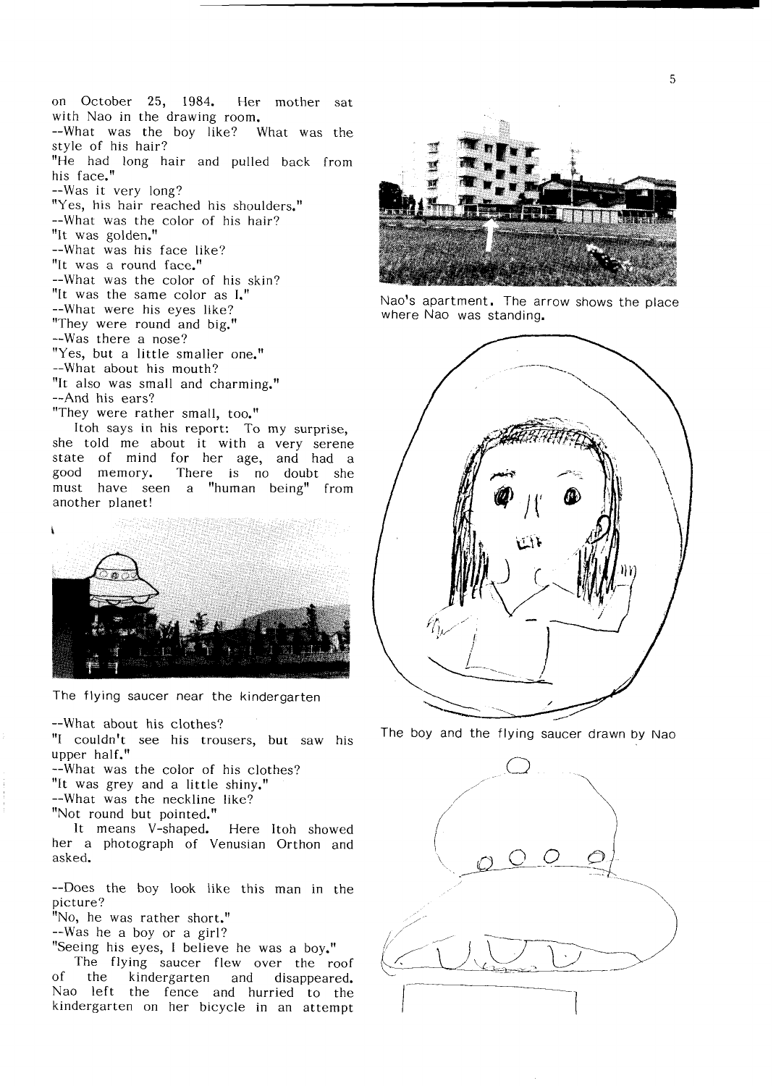on October 25, 1984. Her mother sat with Nao in the drawing room. --What was the boy like? What was the style of his hair? "He had long hair and pulled back from his face." --Was it very long? "Yes, his hair reached his shoulders." --What was the color of his hair? "It was golden." --What was his face like? "It was a round face." --What was the color of his skin? "It was the same color as I." --What were his eyes like? "They were round and big." --Was there a nose? "Yes, but a little smaller one." --What about his mouth? "It also was small and charming." --And his ears? "They were rather small, too."

Itoh says in his report: To my surprise, she told me about it with a very serene state of mind for her age, and had a<br>good memory. There is no doubt she There is no doubt she must have seen a "human being" from another planet!



The flying saucer near the kindergarten

--What about his clothes?

"I couldn't see his trousers, but saw his upper half."

--What was the color of his clothes? "It was grey and a little shiny." --What was the neckline like? "Not round but pointed."

It means V-shaped. Here Itoh showed her a photograph of Venusian Orthon and asked.

--Does the boy look like this man in the picture?

"No, he was rather short."

--Was he a boy or a girl?

"Seeing his eyes, I believe he was a boy."

The flying saucer flew over the roof of the kindergarten and disappeared. Nao left the fence and hurried to the kindergarten on her bicycle in an attempt



Nao's apartment. The arrow shows the place where Nao was standing.



The boy and the flying saucer drawn by Nao

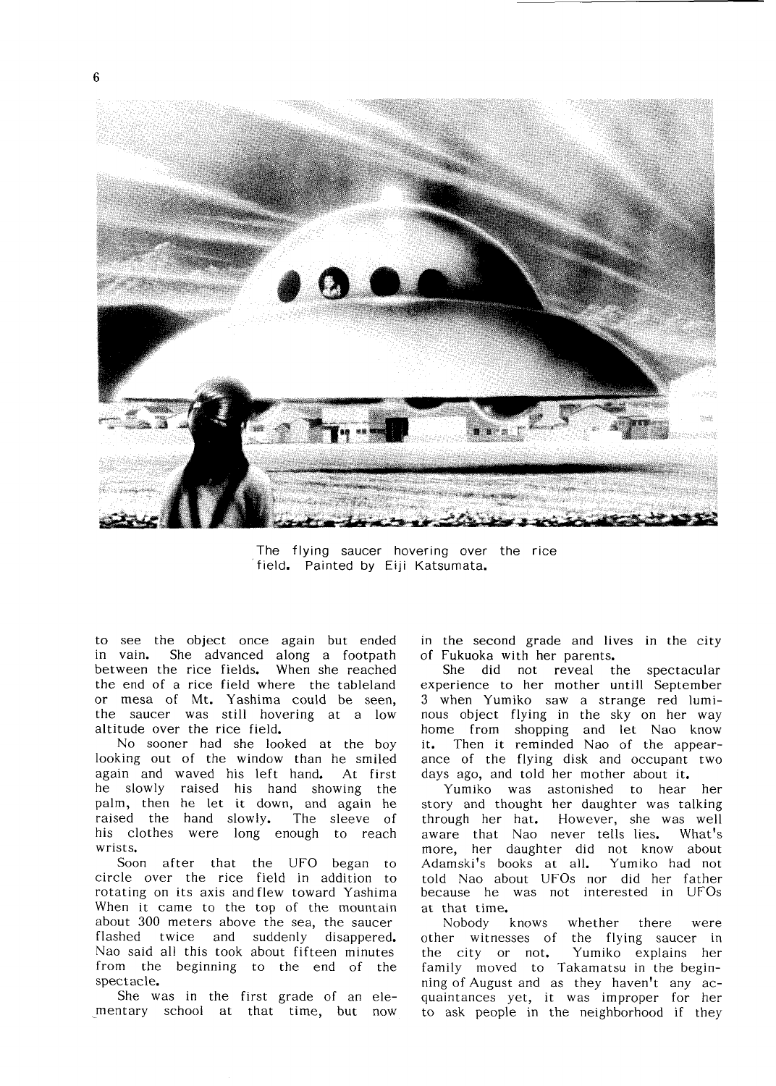

6



The fIying saucer hovering over the rice field. Painted by Eiji Katsumata.

to see the object once again but ended in vain. She advanced along a footpath between the rice fields. When she reached the end of a rice field where the tableland or mesa of Mt. Yashima could be seen, the saucer was still hovering at a low altitude over the rice field.

No sooner had she looked at the boy looking out of the window than he smiled again and waved his left hand. At first he slowly raised his hand showing the palm, then he let it down, and again he raised the hand slowly. The sleeve of his clothes were long enough to reach Wrists.

Soon after that the UFO began to circle over the rice field in addition to rotating on its axis andflew toward Yashima When it came to the top of the mountain about 300 meters above the sea, the saucer flashed twice and suddenly disappered. Nao said all this took about fifteen minutes from the beginning to the end of the spectacle.

She was in the first grade of an elementary school at that time, but now in the second grade and lives in the city

Of Fukuoka with her parents. She did not reveal the spectacular experience to her mother untill September 3 when Yumiko saw a strange red luminous object flying in the sky on her way home from shopping and let Nao know it. Then it reminded Nao of the appearance of the flying disk and occupant two days ago, and told her mother about it.

Yumiko was astonished to hear her story and thought her daughter was talking through her hat. However, she was well aware that Nao never tells lies. What's more, her daughter did not know about Adamski's books at all. Yumiko had not told Nao about UFOs nor did her father because he was not interested in UFOs at that time.

Nobody knows whether there were other witnesses of the flying saucer in the city or not. Yumiko explains her family moved to Takamatsu in the beginning of August and as they haven't any acquaintances yet, it was improper for her to ask people in the neighborhood if they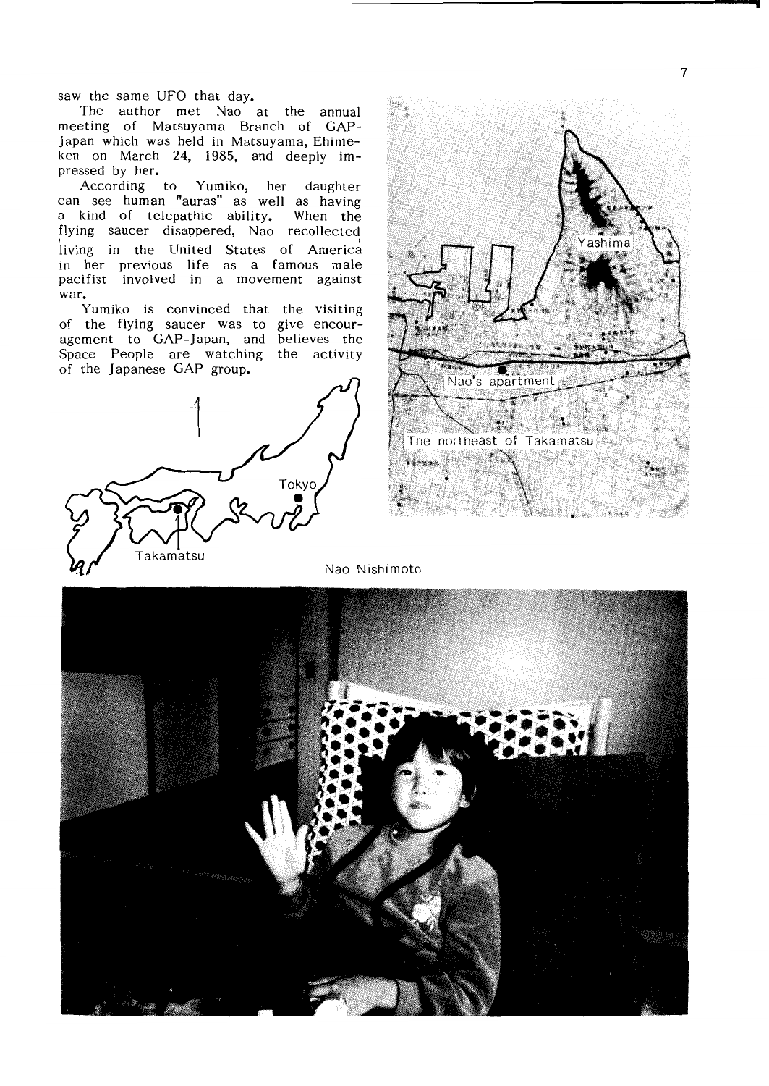saw the same UFO that day.

The author met Nao at the annual meeting of Matsuyama Branch of GAP- Japan which was held in Matsuyama, Ehimeken on March 24, 1985, and deeply  $im$ pressed by her.

According to Yumiko, her daughter Can See human "auras" as well as having  $\mu$  kind of telepathic ability. When the flying saucer disappered, Nao recollected living in the United States of America in her previous life as a famous male pacifist involved in a movement against War.

Yumiko is convinced that the visiting<br>of the flying saucer was to give encouragement to GAP-Japan, and believes the Space People are watching the activity of the Japanese GAP group.





Nao Nishimoto

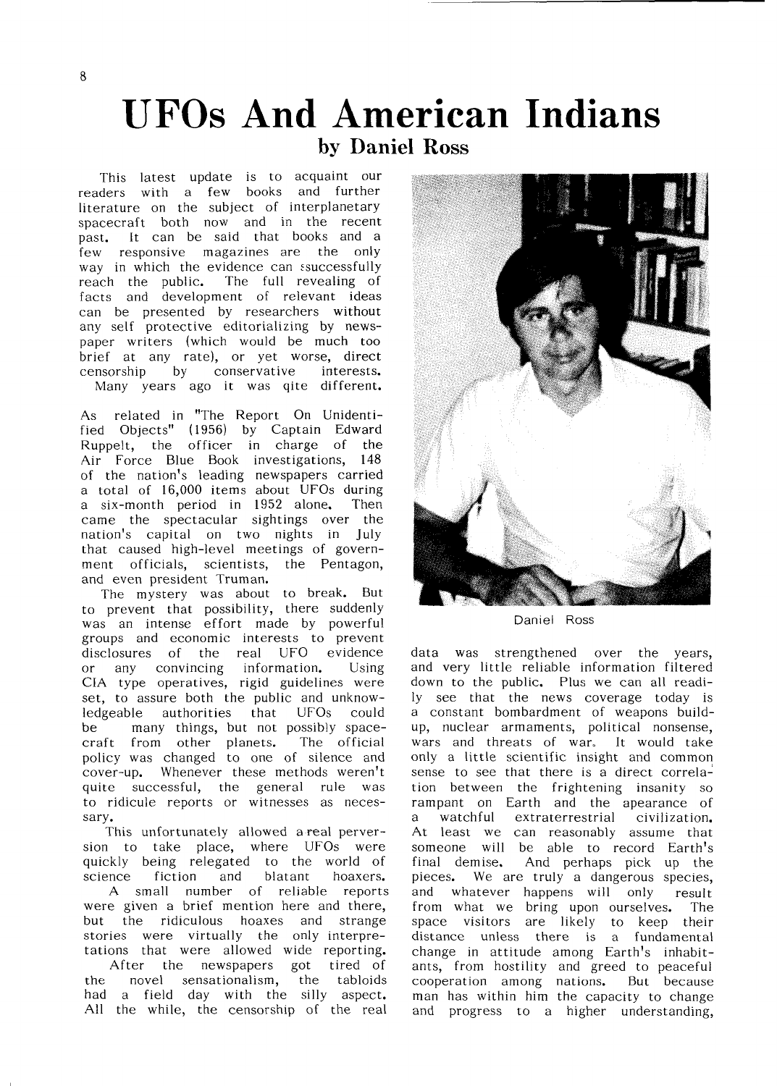### UFOs And American Indians by Daniel Ross

This latest update is to acquaint our readers with a few books and further literature on the subject of interplanetary spacecraft both now and in the recent past. It can be said that books and a few responsive magazines are the only way in which the evidence can ssuccessfully reach the public. The full revealing of facts and development of relevant ideas can be presented by researchers any self protective editorializing by nev paper writers (which would be much too brief at any rate), or yet worse, direct censorship by conservative interests. Many years ago it was qite different.

As related in "The Report On Unidentified Objects" (1956) by Captain Edward Ruppelt, the officer in charge of the Air Force Blue Book investigations, 148 of the nation's leading newspapers carried a total of 16,000 items about UFOs during a six-month period in 1952 alone. Then Came the spectacular sightings over the nation's capital on two nights in July that caused high-level meetings of government officials, scientists, the Pentagon, and even president Truman.

The mystery was about to break. But to prevent that possibility, there suddenly was an intense effort made by powerful groups and economic interests to prevent disclosures of the real UFO evidence or any convincing information. Using CIA type operatives, rigid guidelines were set, to assure both the public and unknow-1edgeable authorities that UFOs could be many things, but not possibly spacecraft from other planets. The official policy was changed to one of silence and cover-up. Whenever these methods weren't quite successful, the general rule was to ridicule reports or witnesses as neces sary.

This unfortunately allowed a real perversion to take place, where UFOs were quickly being relegated to the world of quickly being relegated to the world of final demise.<br>science fiction and blatant hoaxers. pieces. We a A sma11 number of reliable reports were given a brief mention here and there, but the ridiculous hoaxes and strange stories were virtually the only interpretations that were a1lowed wide reporting. After the newspapers got tired of the novel sensationalism, the tabloids had a field day with the silly aspect. All the while, the censorship of the real



Daniel Ross

data was strengthened over the years, and very little reliable information filtered down to the public. Plus we can all readily see that the news coverage today is a constant bombardment of weapons build up, nuclear armaments, political nonsense, wars and threats of war. It would take only a little scientific insight and common sense to see that there is a direct correlation between the frightening insanity so rampant on Earth and the apearance of a watchful extraterrestrial civilization. At least we can reasonably assume that someone will be able to record Earth's And perhaps pick up the pieces. We are truly a dangerous species, and whatever happens will only result from what we bring upon ourselves. The space visitors are likely to keep their distance unless there is a fundamental change in attitude among Earth's inhabitants, from hostility and greed to peaceful COOPeration among nations. But because man has within him the capacity to change and progress to a higher understanding,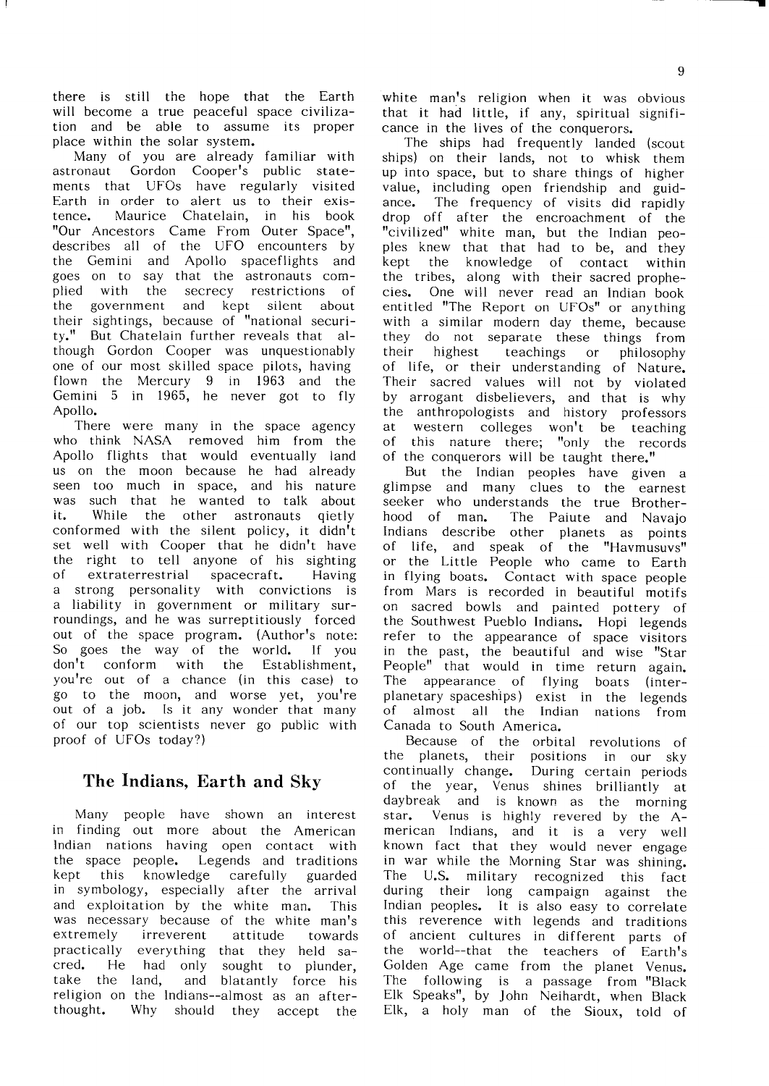there is still the hope that the Earth will become a true peaceful space civilization and be able to assume its proper place within the solar system.<br>Many of you are already familiar with

astronaut Gordon Cooper's public statements that UFOs have regularly visited Earth in order to alert us to their existence. Maurice Chatelain, in his book "Our Ancestors Came From Outer Space", describes all of the UFO encounters by the Gemini and Apollo spaceflights and goes on to say that the astronauts complied with the secrecy restrictions of<br>the government and kept silent about and kept silent about their sightings, because of "national security." But Chatelain further reveals that although Gordon Cooper was unquestionably one of our most skilled space pilots, having flown the Mercury 9 in 1963 and the Gemini 5 in 1965, he never got to fly

Apollo. There were many in the space agency Who think NASA removed him from the Apollo flights that would eventually land us on the moon because he had already seen too much in space, and his nature WaS SuCh that he wanted to talk about it. While the other astronauts qietly conformed with the silent policy, it didn't set well with Cooper that he didn't have the right to tell anyone of his sighting extraterrestrial spacecraft. Having a strong personality with convictions is a liability in government or military surroundings, and he was surreptitiously forced out of the space program. (Author's note: So goes the way of the world. If you don†t conform with the Establishment, you're out of a chance (in this case) to go to the moon, and worse yet, you're out of a job. Is it any wonder that many Of our top scientists never go public with proof of UFOs today?)

### The Indians, Earth and Sky

Many people have shown an interest in finding out more about the American lndian nations having open contact with the space people. Legends and traditions<br>kept this knowledge carefully guarded this knowledge carefully guarded in symbology, especially after the arrival and exploitation by the white man. This was necessary because of the white man's extremely irreverent attitude towards practically everything that they held sacred. He had only sought to plunder, take the land, and blatantly force his religion on the Indians--almost as an afterthought. Why should they accept the

white man's religion when it was obvious that it had little, if any, spiritual significance in the lives of the conquerors.

The ships had frequently landed (scout ships) on their lands, not to whisk them up into space, but to share things of higher value, including open friendship and guidance. The frequency of visits did rapidly drop off after the encroachment of the more the United man, but the Indian peoples knew that that had to be, and they kept the knowledge of contact within the tribes, along with their sacred prophecies. One will never read an Indian book entitled "The Report on UFOs" or anything with a similar modern day theme, because they do not separate these things from their highest teachings or philosophy of life, or their understanding of Nature. Their sacred values will not by violated by arrogant disbelievers, and that is why the anthropologists and history professors at western colleges won't be teaching of this nature there; "only the records of the conquerors will be taught there."

But the Indian peoples have given a glimpse and many clues to the earnest seeker who understands the true Brotherhood of man. The Paiute and Navajo Indians describe other planets as points of life, and speak of the "Havmusuvs" Or the Little People who came to Earth in flying boats. Contact with space people from Mars is recorded in beautiful motifs On SaCred bowIs and painted pottery of the Southwest Pueblo Indians. Hopi legends refer to the appearance of space visitors in the past, the beautiful and wise "Star People" that would in time return again. The appearance of flying boats (interplanetary spaceships) exist in the legends Of almost all the Indian nations from Canada to South America.

Because of the orbital revolutions of the planets, their positions in our sky continually change. During certain periods of the year, Venus shines brilliantly at daybreak and is known as the morning star. Venus is highly revered by the American Indians, and it is a very well known fact that they would never engage in war while the Morning Star was shining. The U.S. military recognized this fact during their long campaign against the Indian peoples. It is also easy to correlate this reverence with legends and traditions of ancient cultures in different parts of the world--that the teachers of Earth's Golden Age came from the planet Venus. The following is a passage from "Black Elk Speaks<sup>"</sup>, by John Neihardt, when Black Elk, a holy man of the Sioux, told of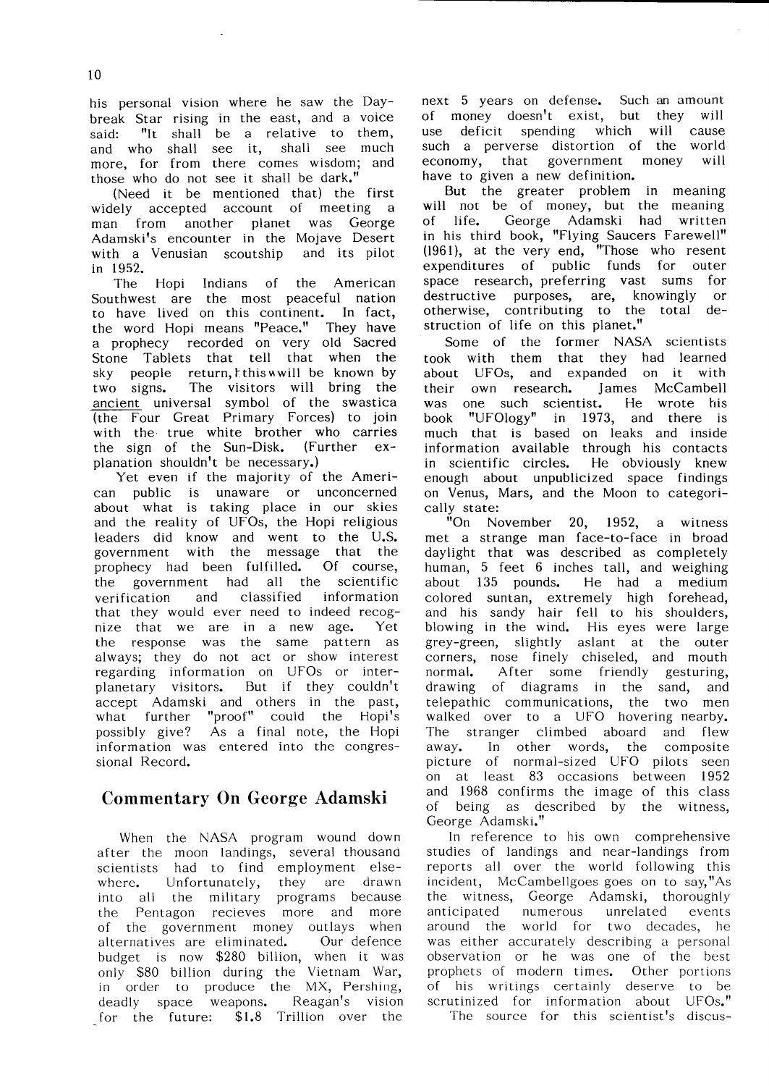his personal vision where he saw the Daybreak Star rising in the east, and a voice said: "It shall be a relative to them, and who shall see it, shall see much more, for from there comes wisdom; and those who do not see it shall be dark."

(Need it be mentioned that) the first widely accepted account of meeting a man from another planet was George Adamski<sup>t</sup>s encounter in the Mojave Desert<br>with a Venusian scoutship and its pilot with a Venusian scoutship in1952.

The Hopi Indians of the American Southwest are the most peaceful nation to have lived on this continent. In fact, the word Hopi means "Peace." They have a prophecy recorded on very old Sacred Stone Tablets that tell that when the sky people return, t this will be known by two signs. The visitors will bring the ancient universal symbol of the swastica  $\overline{I}$ (the Four Great Primary Forces) to join with the true white brother who carries the sign of the Sun-Disk.(Further ex planation shouldn't be necessary.)

Yet even if the majority of the Ameri-Can public is unaware or unconcerned about what is taking place in our skies and the reality of UFOs, the Hopi religious leaders did know and went to the U.S. government with the message that the<br>prophecy had been fulfilled. Of course, prophecy had been fulfilled. the government had all the scientific verification and classified information that they would ever need to indeed recognize that we are in a new age. Yet the response was the same pattern as always; they do not act or show interest regarding information on UFOs or interplanetary visitors. But if they couldn't accept Adamski and others in the past, what further "proof" could the Hopi's possibly give? As a final note, the Hopi information was entered into the congressional Record.

### Commentary On George Adamski

When the NASA program wound down after the moon landings, several thousand scientists had to find employment elsewhere. Unfortunately, they are drawn into all the military programs because the Pentagon recieves more and more of the government money outlays when alternatives are eliminated. Our defence budget is now  $$280$  billion, when it was  $\epsilon$ only \$80 billion during the Vietnam War, in order to produce the MX, Pershing, deadly space weapons. Reagan's vision for the future: \$1.8 Trillion over the

next 5 years on defense. Such an amount of money doesn't exist, but they will use deficit spending which will cause such a perverse distortion of the world economy, that government money will have to given a new definition.

But the greater problem in meaning<br>will not be of money, but the meaning of life. George Adamski had written in his third book, "Flying Saucers Farewell" (1961), at the very end, "Those who resent expenditures of public funds for outer space research, preferring vast sums for destructive purposes, are, knowingly or otherwise, contributing to the total destruction of life on this planet."

Some of the former NASA scientists took with them that they had learned about UFOs, and expanded on it with their own research. James McCambell was one such scientist. He wrote his book "UFOlogy" in 1973, and there is much that is based on leaks and inside information available through his contacts in scientific circles. He obviously knew enough about unpublicized space findings on Venus, Mars, and the Moon to categori-Cally state:

"On November 20, 1952, a witness met a strange man face-to-face in broad daylight that was described as completely human, 5 feet 6 inches tall, and weighing about 135 pounds. He had a medium colored suntan, extremely high forehead. and his sandy hair fell to his shoulders, blowing in the wind. His eyes were large grey-green, slightly aslant at the outer corners, nose finely chiseled, and mouth normal. After some friendly gesturing, drawing of diagrams in the sand, and telepathic communications, the tw walked over to a UFO hovering The stranger climbed aboard and flew away. In other words, the composite picture of normal-sized UFO pilots seen On at least 83 0CCaSions between 1952 and 1968 confirms the image of this class Of being as described by the witness, George Adamski."

1n reference to his own comprehensive studies of landings and near-landings from reports all over the world following this incident, McCambellgoes goes on to say,"As the witness, George Adamski, thoroughly anticipated numerous unrelated events around the world for two decades, he was either accurately describing a personal observation or he was one of the best prophets of modern times. Other portions of his writings certainly deserve to be scrutinized for information about UFOs." The source for this scientist's discus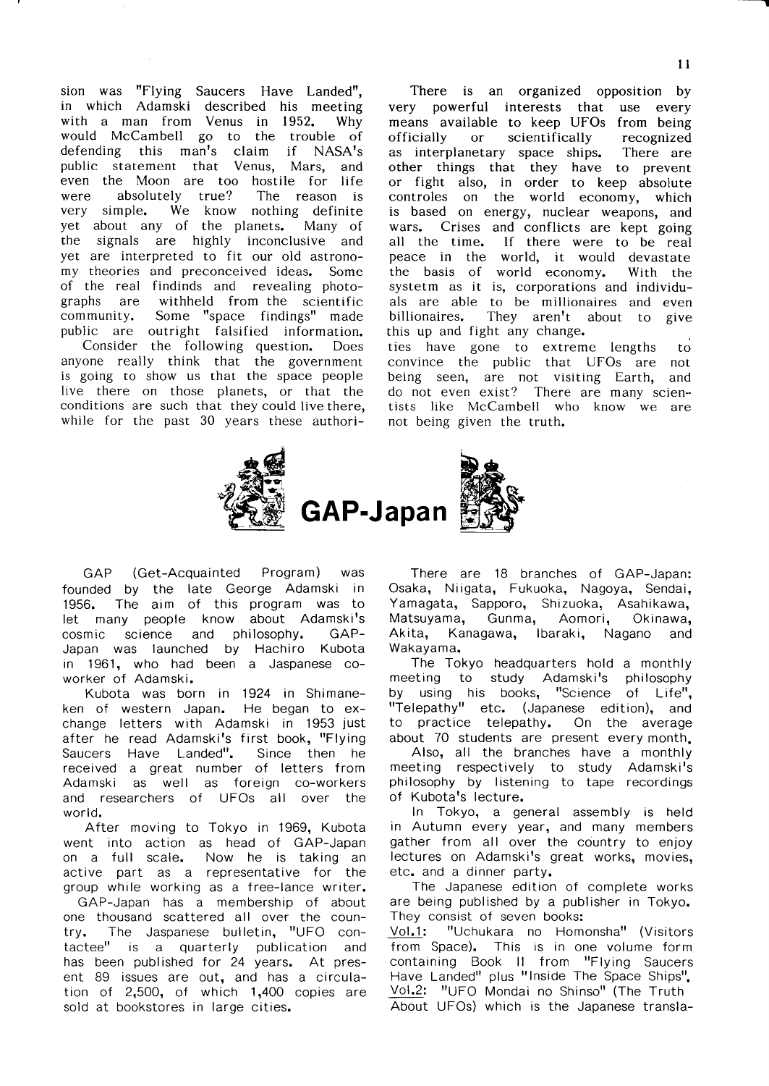sion was "Flying Saucers Have Landed". in which Adamski described his meeting with a man from Venus in 1952. Why would McCambell go to the trouble of defending this man's claim if NASA's public statement that Venus, Mars, and even the Moon are too hostile for life Were absolutely true? The reason is very simple. We know nothing definite yet about any of the planets. Many of the signals are highly inconclusive and yet are interpreted to fit our old astronomy theories and preconceived ideas. of the real findinds and revealing pho graphs are community. public are Outright falsified information. Consider the following question. D withheld from the scientific Some "space findings" made anyone really think that the government is going to show us that the space people live there on those planets, or that the conditions are such that they could live there, while for the past  $30$  years these authori-

There is an organized opposition by very powerful interests that use every means available to keep UFOs from being Officia11y or scientifically recognized as interplanetary space ships. There are other things that they have to prevent or fight also, in order to keep absolute controles on the world economy, which is based on energy, nuclear weapons, and wars. Crises and conflicts are kept going all the time. If there were to be real peace in the world, it would devastate the basis of world economy. With the systetm as it is, corporations and individuals are able to be mi11ionaires and even billionaires. They aren't about to give this up and fight any change. ties have gone to extreme lengths  $-$ to convince the public that UFOs are not being seen, are not visiting Earth, and do not even exist? There are many scien tists like McCambe11 who know we are not being given the truth.



GAP (Get-Acquainted Program) was founded by the late George Adamski in 1956. The aim of this program was to let many people know about Adamski's cosmic science and philosophy. GAP- Akita, Japan was launched by Hachiro Kubota in 1961, who had been a Jaspanese co-WOrker of Adamski.

Kubota was born in 1924 in Shimaneken of western Japan. He began to ex change letters with Adamski in 1953 just after he read Adamski's first book, "Flying Saucers Have Landed". Since then he received a great number of letters from Adamski as well as foreign co-workers and researchers of UFOs all over the world.

After moving to Tokyo in 1969, Kubota went into action as head of GAP-Japan on a full scale. Now he is taking an active part as a representative for the group while working as a free-Lance writer. GAP-Japan has a membership of about One thousand scattered aH over the coun try. The Jaspanese bulletin, "UFO contactee" is a quarterly publication and has been published for 24 years. At present 89 issues are out, and has a circulation of  $2,500$ , of which  $1,400$  copies are sold at bookstores in large cities.

There are 18 branches of GAP-Japan: Osaka, Niigata, Fukuoka, Nagoya, Sendai, Yamagata, Sapporo, Shizuoka, Asahikawa, Matsuyama, Gunma, Aomori, Okinawa, Kanagawa, Ibaraki, Nagano and Wakayama.

The Tokyo headquarters hold a monthly meeting to study Adamski's philosophy by using his books, "Science of Life", "Telepathy" etc. (Japanese edition), and to practice telepathy. On the average

about 70 students are present every month.<br>Also, all the branches have a monthly meeting respectively to study Adamski's philosophy by listening to tape recordings of Kubota's lecture.

In Tokyo, a general assembly is held in Autumn every year, and many members gather from all over the country to enjoy lectures on Adamski's great works, movies, etc. and a dinner party.

The Japanese edition of complete works are being published by a publisher in Tokyo. They consist of seven books:

Vol.1: "Uchukara no Homonsha" (Visitors from Space). This is in one volume form containing Book II from "Flying Saucers Have Landed" plus "Inside The Space Ships". Vol.2: "UFO Mondai no Shinso" (The Truth

About UFOs) which is the Japanese transla-